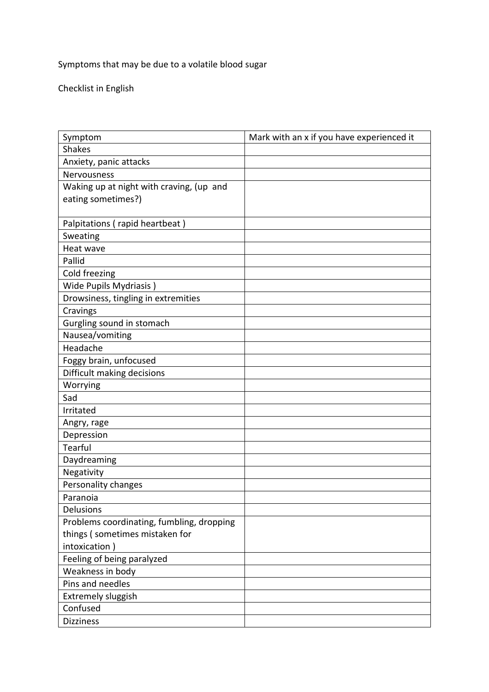Symptoms that may be due to a volatile blood sugar

Checklist in English

| Symptom                                   | Mark with an x if you have experienced it |
|-------------------------------------------|-------------------------------------------|
| <b>Shakes</b>                             |                                           |
| Anxiety, panic attacks                    |                                           |
| Nervousness                               |                                           |
| Waking up at night with craving, (up and  |                                           |
| eating sometimes?)                        |                                           |
|                                           |                                           |
| Palpitations (rapid heartbeat)            |                                           |
| Sweating                                  |                                           |
| Heat wave                                 |                                           |
| Pallid                                    |                                           |
| Cold freezing                             |                                           |
| Wide Pupils Mydriasis)                    |                                           |
| Drowsiness, tingling in extremities       |                                           |
| Cravings                                  |                                           |
| Gurgling sound in stomach                 |                                           |
| Nausea/vomiting                           |                                           |
| Headache                                  |                                           |
| Foggy brain, unfocused                    |                                           |
| Difficult making decisions                |                                           |
| Worrying                                  |                                           |
| Sad                                       |                                           |
| Irritated                                 |                                           |
| Angry, rage                               |                                           |
| Depression                                |                                           |
| Tearful                                   |                                           |
| Daydreaming                               |                                           |
| Negativity                                |                                           |
| Personality changes                       |                                           |
| Paranoia                                  |                                           |
| Delusions                                 |                                           |
| Problems coordinating, fumbling, dropping |                                           |
| things (sometimes mistaken for            |                                           |
| intoxication)                             |                                           |
| Feeling of being paralyzed                |                                           |
| Weakness in body                          |                                           |
| Pins and needles                          |                                           |
| <b>Extremely sluggish</b>                 |                                           |
| Confused                                  |                                           |
| <b>Dizziness</b>                          |                                           |